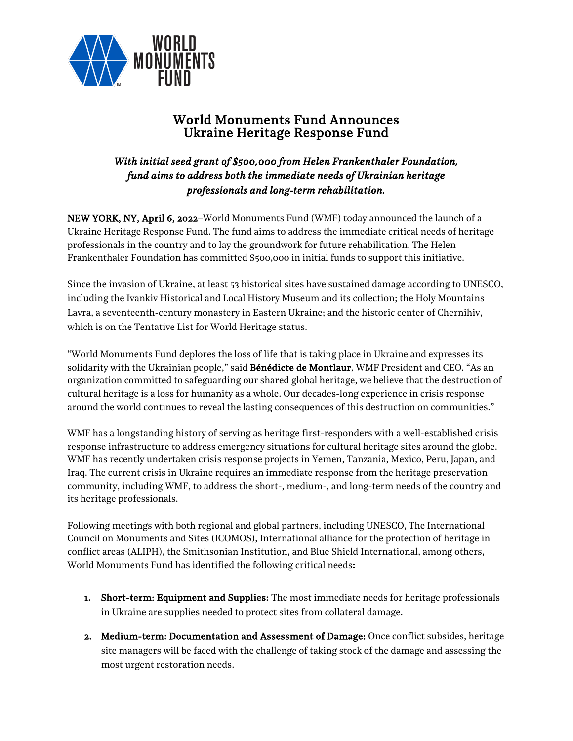

# World Monuments Fund Announces Ukraine Heritage Response Fund

## *With initial seed grant of \$500,000 from Helen Frankenthaler Foundation, fund aims to address both the immediate needs of Ukrainian heritage professionals and long-term rehabilitation.*

NEW YORK, NY, April 6, 2022–World Monuments Fund (WMF) today announced the launch of a Ukraine Heritage Response Fund. The fund aims to address the immediate critical needs of heritage professionals in the country and to lay the groundwork for future rehabilitation. The Helen Frankenthaler Foundation has committed \$500,000 in initial funds to support this initiative.

Since the invasion of Ukraine, at least 53 historical sites have sustained damage according to UNESCO, including the Ivankiv Historical and Local History Museum and its collection; the Holy Mountains Lavra, a seventeenth-century monastery in Eastern Ukraine; and the historic center of Chernihiv, which is on the Tentative List for World Heritage status.

"World Monuments Fund deplores the loss of life that is taking place in Ukraine and expresses its solidarity with the Ukrainian people," said **Bénédicte de Montlaur**, WMF President and CEO. "As an organization committed to safeguarding our shared global heritage, we believe that the destruction of cultural heritage is a loss for humanity as a whole. Our decades-long experience in crisis response around the world continues to reveal the lasting consequences of this destruction on communities."

WMF has a longstanding history of serving as heritage first-responders with a well-established crisis response infrastructure to address emergency situations for cultural heritage sites around the globe. WMF has recently undertaken crisis response projects in Yemen, Tanzania, Mexico, Peru, Japan, and Iraq. The current crisis in Ukraine requires an immediate response from the heritage preservation community, including WMF, to address the short-, medium-, and long-term needs of the country and its heritage professionals.

Following meetings with both regional and global partners, including UNESCO, The International Council on Monuments and Sites (ICOMOS), International alliance for the protection of heritage in conflict areas (ALIPH), the Smithsonian Institution, and Blue Shield International, among others, World Monuments Fund has identified the following critical needs:

- 1. Short-term: Equipment and Supplies: The most immediate needs for heritage professionals in Ukraine are supplies needed to protect sites from collateral damage.
- 2. Medium-term: Documentation and Assessment of Damage: Once conflict subsides, heritage site managers will be faced with the challenge of taking stock of the damage and assessing the most urgent restoration needs.